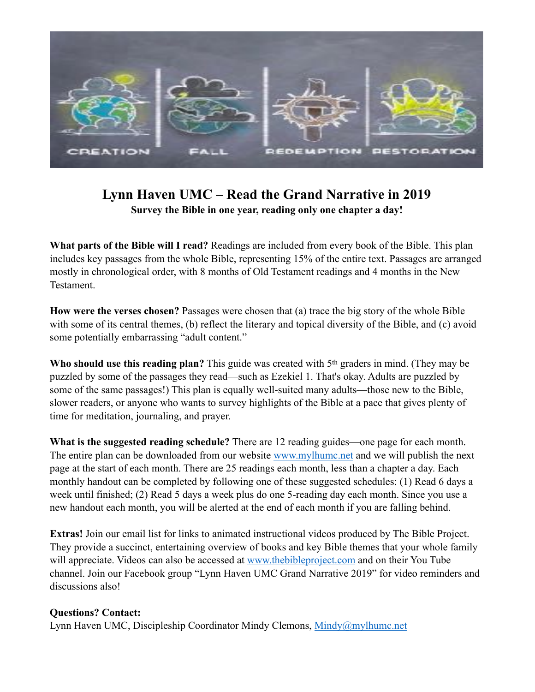

# **Lynn Haven UMC – Read the Grand Narrative in 2019 Survey the Bible in one year, reading only one chapter a day!**

**What parts of the Bible will I read?** Readings are included from every book of the Bible. This plan includes key passages from the whole Bible, representing 15% of the entire text. Passages are arranged mostly in chronological order, with 8 months of Old Testament readings and 4 months in the New Testament.

**How were the verses chosen?** Passages were chosen that (a) trace the big story of the whole Bible with some of its central themes, (b) reflect the literary and topical diversity of the Bible, and (c) avoid some potentially embarrassing "adult content."

**Who should use this reading plan?** This guide was created with 5th graders in mind. (They may be puzzled by some of the passages they read—such as Ezekiel 1. That's okay. Adults are puzzled by some of the same passages!) This plan is equally well-suited many adults—those new to the Bible, slower readers, or anyone who wants to survey highlights of the Bible at a pace that gives plenty of time for meditation, journaling, and prayer.

**What is the suggested reading schedule?** There are 12 reading guides—one page for each month. The entire plan can be downloaded from our website [www.mylhumc.net](http://www.mylhumc.net) and we will publish the next page at the start of each month. There are 25 readings each month, less than a chapter a day. Each monthly handout can be completed by following one of these suggested schedules: (1) Read 6 days a week until finished; (2) Read 5 days a week plus do one 5-reading day each month. Since you use a new handout each month, you will be alerted at the end of each month if you are falling behind.

**Extras!** Join our email list for links to animated instructional videos produced by The Bible Project. They provide a succinct, entertaining overview of books and key Bible themes that your whole family will appreciate. Videos can also be accessed at [www.thebibleproject.com](http://www.thebibleproject.com) and on their You Tube channel. Join our Facebook group "Lynn Haven UMC Grand Narrative 2019" for video reminders and discussions also!

# **Questions? Contact:**

Lynn Haven UMC, Discipleship Coordinator Mindy Clemons, [Mindy@mylhumc.net](mailto:Mindy@mylhumc.net)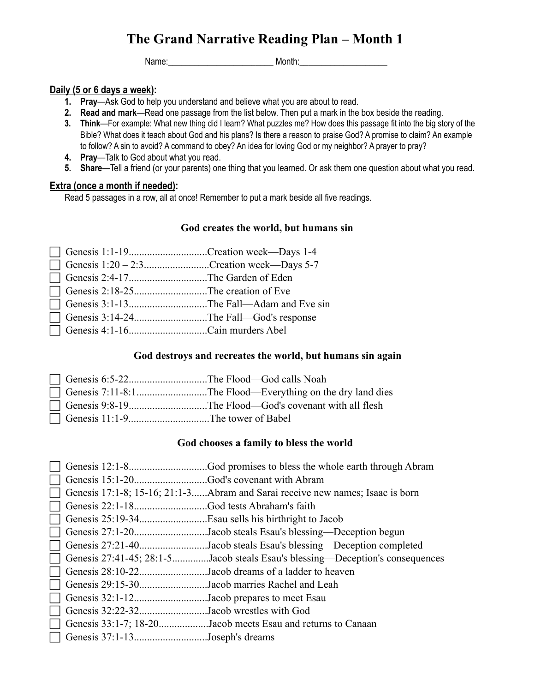Name:\_\_\_\_\_\_\_\_\_\_\_\_\_\_\_\_\_\_\_\_\_\_\_\_ Month:\_\_\_\_\_\_\_\_\_\_\_\_\_\_\_\_\_\_\_\_

# **Daily (5 or 6 days a week):**

- **1. Pray**—Ask God to help you understand and believe what you are about to read.
- **2. Read and mark**—Read one passage from the list below. Then put a mark in the box beside the reading.
- **3. Think**—For example: What new thing did I learn? What puzzles me? How does this passage fit into the big story of the Bible? What does it teach about God and his plans? Is there a reason to praise God? A promise to claim? An example to follow? A sin to avoid? A command to obey? An idea for loving God or my neighbor? A prayer to pray?
- **4. Pray**—Talk to God about what you read.
- **5. Share**—Tell a friend (or your parents) one thing that you learned. Or ask them one question about what you read.

# **Extra (once a month if needed):**

Read 5 passages in a row, all at once! Remember to put a mark beside all five readings.

# **God creates the world, but humans sin**

|                                  | Genesis 1:1-19Creation week—Days 1-4          |
|----------------------------------|-----------------------------------------------|
|                                  | Genesis $1:20 - 2:3$ Creation week—Days 5-7   |
| Genesis 2:4-17The Garden of Eden |                                               |
|                                  |                                               |
|                                  | Genesis 3:1-13The Fall—Adam and Eve sin       |
|                                  | $\Box$ Genesis 3:14-24The Fall—God's response |
| Genesis 4:1-16Cain murders Abel  |                                               |

# **God destroys and recreates the world, but humans sin again**

| Genesis 6:5-22The Flood—God calls Noah |  |
|----------------------------------------|--|
|                                        |  |
|                                        |  |
|                                        |  |

# **God chooses a family to bless the world**

|                                            | God promises to bless the whole earth through Abram.                          |
|--------------------------------------------|-------------------------------------------------------------------------------|
|                                            |                                                                               |
|                                            | Genesis 17:1-8; 15-16; 21:1-3Abram and Sarai receive new names; Isaac is born |
|                                            |                                                                               |
|                                            | Esau sells his birthright to Jacob                                            |
|                                            | Genesis 27:1-20Jacob steals Esau's blessing—Deception begun                   |
|                                            | Genesis 27:21-40Jacob steals Esau's blessing—Deception completed              |
|                                            | Genesis 27:41-45; 28:1-5Jacob steals Esau's blessing—Deception's consequences |
|                                            | Genesis 28:10-22Jacob dreams of a ladder to heaven                            |
|                                            | Genesis 29:15-30Jacob marries Rachel and Leah                                 |
| Genesis 32:1-12Jacob prepares to meet Esau |                                                                               |
| Genesis 32:22-32Jacob wrestles with God    |                                                                               |
|                                            | Genesis 33:1-7; 18-20Jacob meets Esau and returns to Canaan                   |
| Genesis 37:1-13Joseph's dreams             |                                                                               |
|                                            |                                                                               |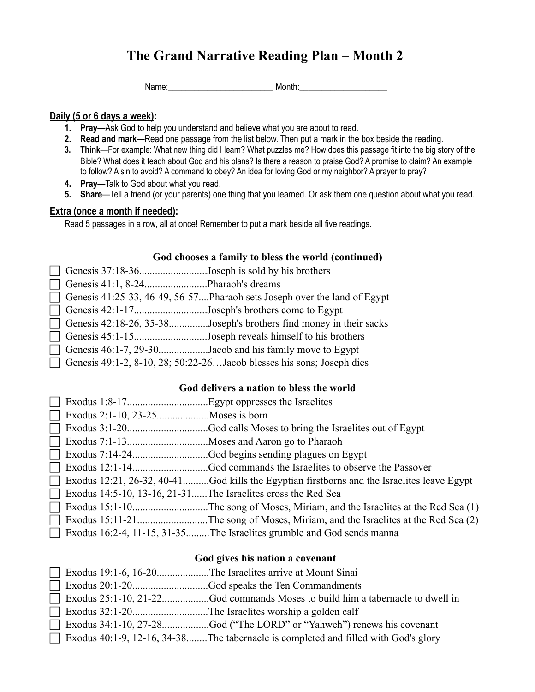Name: example and the Month:

#### **Daily (5 or 6 days a week):**

- **1. Pray**—Ask God to help you understand and believe what you are about to read.
- **2. Read and mark**—Read one passage from the list below. Then put a mark in the box beside the reading.
- **3. Think**—For example: What new thing did I learn? What puzzles me? How does this passage fit into the big story of the Bible? What does it teach about God and his plans? Is there a reason to praise God? A promise to claim? An example to follow? A sin to avoid? A command to obey? An idea for loving God or my neighbor? A prayer to pray?
- **4. Pray**—Talk to God about what you read.
- **5. Share**—Tell a friend (or your parents) one thing that you learned. Or ask them one question about what you read.

## **Extra (once a month if needed):**

Read 5 passages in a row, all at once! Remember to put a mark beside all five readings.

### **God chooses a family to bless the world (continued)**

| $\Box$ Genesis 37:18-36Joseph is sold by his brothers |                                                                          |
|-------------------------------------------------------|--------------------------------------------------------------------------|
|                                                       |                                                                          |
|                                                       | Genesis 41:25-33, 46-49, 56-57Pharaoh sets Joseph over the land of Egypt |
| Genesis 42:1-17Joseph's brothers come to Egypt        |                                                                          |
|                                                       | Genesis $42:18-26$ , $35-38$ Joseph's brothers find money in their sacks |
|                                                       | Genesis 45:1-15Joseph reveals himself to his brothers                    |
|                                                       | Genesis 46:1-7, 29-30Jacob and his family move to Egypt                  |
|                                                       | Genesis 49:1-2, 8-10, 28; 50:22-26 Jacob blesses his sons; Joseph dies   |

## **God delivers a nation to bless the world**

| $\Box$ | Exodus 12:21, 26-32, 40-41God kills the Egyptian firstborns and the Israelites leave Egypt |
|--------|--------------------------------------------------------------------------------------------|
|        | Exodus 14:5-10, 13-16, 21-31The Israelites cross the Red Sea                               |
|        |                                                                                            |
|        |                                                                                            |
| $\Box$ | Exodus 16:2-4, 11-15, 31-35The Israelites grumble and God sends manna                      |

### **God gives his nation a covenant**

|  | Exodus 19:1-6, 16-20The Israelites arrive at Mount Sinai                                  |
|--|-------------------------------------------------------------------------------------------|
|  |                                                                                           |
|  |                                                                                           |
|  |                                                                                           |
|  |                                                                                           |
|  | $\Box$ Exodus 40:1-9, 12-16, 34-38The tabernacle is completed and filled with God's glory |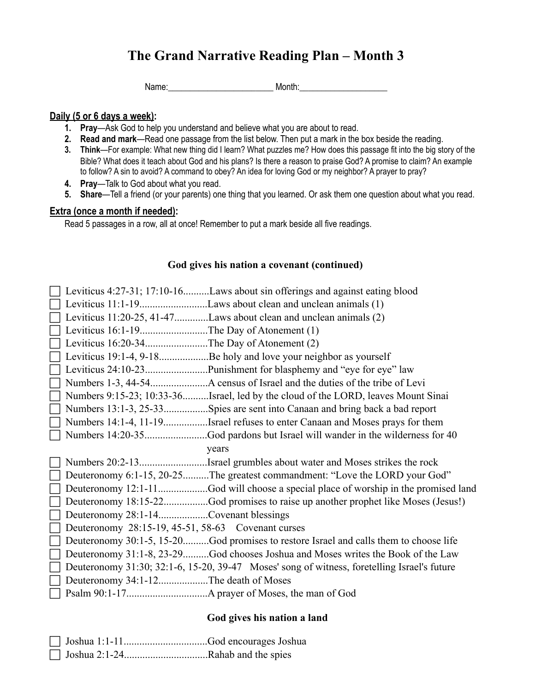Name: The Month: Name: 2008. None of Month: 2008. None of Month: 2008. None of Month: 2008. None of Month: 2008. None of Month: 2008. None of Month: 2008. None of Month: 2008. None of Month: 2008. None of Month: 2008. None

#### **Daily (5 or 6 days a week):**

- **1. Pray**—Ask God to help you understand and believe what you are about to read.
- **2. Read and mark**—Read one passage from the list below. Then put a mark in the box beside the reading.
- **3. Think**—For example: What new thing did I learn? What puzzles me? How does this passage fit into the big story of the Bible? What does it teach about God and his plans? Is there a reason to praise God? A promise to claim? An example to follow? A sin to avoid? A command to obey? An idea for loving God or my neighbor? A prayer to pray?
- **4. Pray**—Talk to God about what you read.
- **5. Share**—Tell a friend (or your parents) one thing that you learned. Or ask them one question about what you read.

## **Extra (once a month if needed):**

Read 5 passages in a row, all at once! Remember to put a mark beside all five readings.

## **God gives his nation a covenant (continued)**

|                                                    | Leviticus 4:27-31; 17:10-16Laws about sin offerings and against eating blood                |
|----------------------------------------------------|---------------------------------------------------------------------------------------------|
|                                                    |                                                                                             |
|                                                    | Leviticus 11:20-25, 41-47Laws about clean and unclean animals (2)                           |
| Leviticus 16:1-19The Day of Atonement (1)          |                                                                                             |
| Leviticus 16:20-34The Day of Atonement (2)         |                                                                                             |
|                                                    | Leviticus 19:1-4, 9-18Be holy and love your neighbor as yourself                            |
|                                                    |                                                                                             |
|                                                    |                                                                                             |
|                                                    | Numbers 9:15-23; 10:33-36Israel, led by the cloud of the LORD, leaves Mount Sinai           |
|                                                    | Numbers 13:1-3, 25-33Spies are sent into Canaan and bring back a bad report                 |
|                                                    | Numbers 14:1-4, 11-19Israel refuses to enter Canaan and Moses prays for them                |
|                                                    |                                                                                             |
|                                                    | years                                                                                       |
|                                                    | Numbers 20:2-13Israel grumbles about water and Moses strikes the rock                       |
|                                                    | Deuteronomy 6:1-15, 20-25The greatest commandment: "Love the LORD your God"                 |
|                                                    | Deuteronomy 12:1-11God will choose a special place of worship in the promised land          |
|                                                    | Deuteronomy 18:15-22God promises to raise up another prophet like Moses (Jesus!)            |
| Deuteronomy 28:1-14Covenant blessings              |                                                                                             |
| Deuteronomy 28:15-19, 45-51, 58-63 Covenant curses |                                                                                             |
|                                                    | Deuteronomy 30:1-5, 15-20God promises to restore Israel and calls them to choose life       |
|                                                    | Deuteronomy 31:1-8, 23-29God chooses Joshua and Moses writes the Book of the Law            |
|                                                    | Deuteronomy 31:30; 32:1-6, 15-20, 39-47 Moses' song of witness, foretelling Israel's future |
| Deuteronomy 34:1-12The death of Moses              |                                                                                             |
|                                                    |                                                                                             |

### **God gives his nation a land**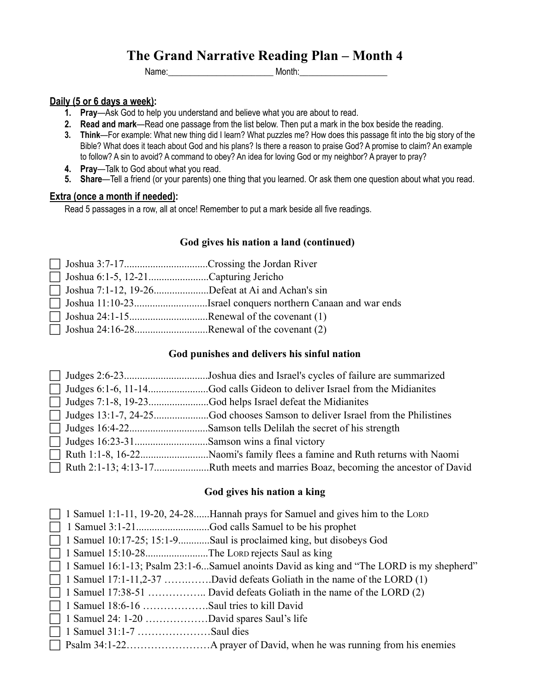Name:\_\_\_\_\_\_\_\_\_\_\_\_\_\_\_\_\_\_\_\_\_\_\_\_ Month:\_\_\_\_\_\_\_\_\_\_\_\_\_\_\_\_\_\_\_\_

#### **Daily (5 or 6 days a week):**

- **1. Pray**—Ask God to help you understand and believe what you are about to read.
- **2. Read and mark**—Read one passage from the list below. Then put a mark in the box beside the reading.
- **3. Think**—For example: What new thing did I learn? What puzzles me? How does this passage fit into the big story of the Bible? What does it teach about God and his plans? Is there a reason to praise God? A promise to claim? An example to follow? A sin to avoid? A command to obey? An idea for loving God or my neighbor? A prayer to pray?
- **4. Pray**—Talk to God about what you read.
- **5. Share**—Tell a friend (or your parents) one thing that you learned. Or ask them one question about what you read.

#### **Extra (once a month if needed):**

Read 5 passages in a row, all at once! Remember to put a mark beside all five readings.

#### **God gives his nation a land (continued)**

| $\Box$ Joshua 7:1-12, 19-26Defeat at Ai and Achan's sin |  |
|---------------------------------------------------------|--|
|                                                         |  |
|                                                         |  |
| $\Box$ Joshua 24:16-28Renewal of the covenant (2)       |  |

#### **God punishes and delivers his sinful nation**

|  | Ruth 2:1-13; 4:13-17Ruth meets and marries Boaz, becoming the ancestor of David |
|--|---------------------------------------------------------------------------------|

#### **God gives his nation a king**

|  |  |  |  |  | $\Box$ 1 Samuel 1:1-11, 19-20, 24-28Hannah prays for Samuel and gives him to the LORD |  |  |  |  |  |  |  |  |
|--|--|--|--|--|---------------------------------------------------------------------------------------|--|--|--|--|--|--|--|--|
|--|--|--|--|--|---------------------------------------------------------------------------------------|--|--|--|--|--|--|--|--|

- ! 1 Samuel 3:1-21............................God calls Samuel to be his prophet
- 1 Samuel 10:17-25; 15:1-9............Saul is proclaimed king, but disobeys God
- ! 1 Samuel 15:10-28........................The LORD rejects Saul as king
- $\Box$  1 Samuel 16:1-13; Psalm 23:1-6...Samuel anoints David as king and "The LORD is my shepherd"
- $\Box$  1 Samuel 17:1-11,2-37 …….........David defeats Goliath in the name of the LORD (1)
- $\Box$  1 Samuel 17:38-51 ……………….. David defeats Goliath in the name of the LORD (2)
- ! 1 Samuel 18:6-16 ……………….Saul tries to kill David
- ! 1 Samuel 24: 1-20 ………………David spares Saul's life
- $\Box$  1 Samuel 31:1-7 ……………………Saul dies
- ! Psalm 34:1-22……………………A prayer of David, when he was running from his enemies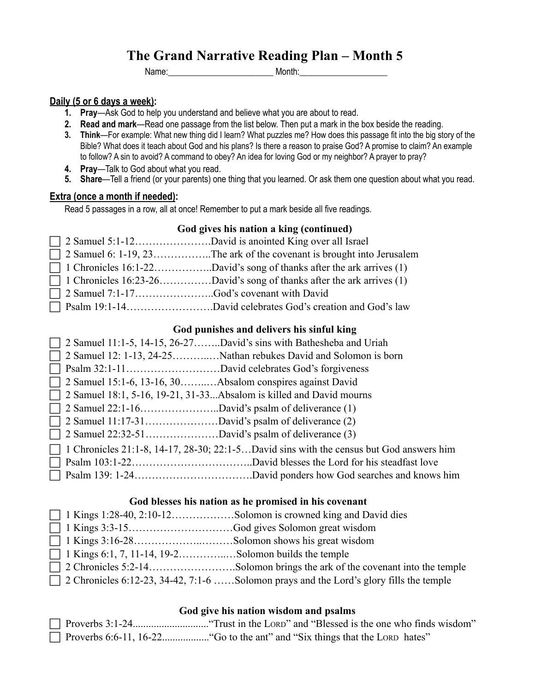Name:\_\_\_\_\_\_\_\_\_\_\_\_\_\_\_\_\_\_\_\_\_\_\_\_ Month:\_\_\_\_\_\_\_\_\_\_\_\_\_\_\_\_\_\_\_\_

### **Daily (5 or 6 days a week):**

- **1. Pray**—Ask God to help you understand and believe what you are about to read.
- **2. Read and mark**—Read one passage from the list below. Then put a mark in the box beside the reading.
- **3. Think**—For example: What new thing did I learn? What puzzles me? How does this passage fit into the big story of the Bible? What does it teach about God and his plans? Is there a reason to praise God? A promise to claim? An example to follow? A sin to avoid? A command to obey? An idea for loving God or my neighbor? A prayer to pray?
- **4. Pray**—Talk to God about what you read.
- **5. Share**—Tell a friend (or your parents) one thing that you learned. Or ask them one question about what you read.

### **Extra (once a month if needed):**

Read 5 passages in a row, all at once! Remember to put a mark beside all five readings.

### **God gives his nation a king (continued)**

|  | $\Box$ 2 Samuel 6: 1-19, 23The ark of the covenant is brought into Jerusalem |
|--|------------------------------------------------------------------------------|
|  | $\Box$ 1 Chronicles 16:1-22David's song of thanks after the ark arrives (1)  |
|  | 1 Chronicles 16:23-26David's song of thanks after the ark arrives (1)        |
|  |                                                                              |
|  |                                                                              |

# ! Psalm 19:1-14…………………….David celebrates God's creation and God's law

# **God punishes and delivers his sinful king**

|                                                                  | $\Box$ 2 Samuel 11:1-5, 14-15, 26-27David's sins with Bathesheba and Uriah                     |
|------------------------------------------------------------------|------------------------------------------------------------------------------------------------|
|                                                                  |                                                                                                |
|                                                                  |                                                                                                |
| $\Box$ 2 Samuel 15:1-6, 13-16, 30Absalom conspires against David |                                                                                                |
|                                                                  | $\Box$ 2 Samuel 18:1, 5-16, 19-21, 31-33Absalom is killed and David mourns                     |
|                                                                  |                                                                                                |
|                                                                  |                                                                                                |
|                                                                  |                                                                                                |
|                                                                  | $\Box$ 1 Chronicles 21:1-8, 14-17, 28-30; 22:1-5David sins with the census but God answers him |
|                                                                  |                                                                                                |
|                                                                  |                                                                                                |

### **God blesses his nation as he promised in his covenant**

|--|--|--|--|

- ! 1 Kings 3:3-15…………………………God gives Solomon great wisdom
- $\Box$  1 Kings 3:16-28…………………………………Solomon shows his great wisdom
- $\Box$  1 Kings 6:1, 7, 11-14, 19-2………………….. Solomon builds the temple
- $\Box$  2 Chronicles 5:2-14…………………………Solomon brings the ark of the covenant into the temple
- $\Box$  2 Chronicles 6:12-23, 34-42, 7:1-6 ……Solomon prays and the Lord's glory fills the temple

### **God give his nation wisdom and psalms**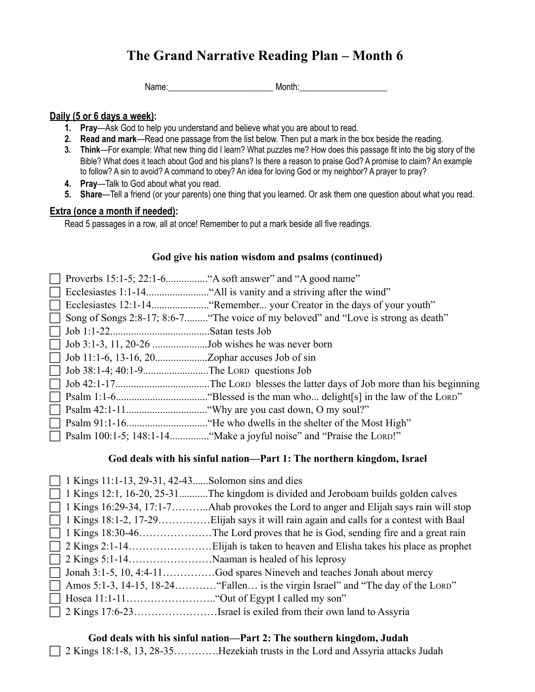Name: The Month: Name: 2008. None of Month: 2008. None of Month: 2008. None of Month: 2008. None of Month: 2008. None of Month: 2008. None of Month: 2008. None of Month: 2008. None of Month: 2008. None of Month: 2008. None

#### **Daily (5 or 6 days a week):**

- **1. Pray**—Ask God to help you understand and believe what you are about to read.
- **2. Read and mark**—Read one passage from the list below. Then put a mark in the box beside the reading.
- **3. Think**—For example: What new thing did I learn? What puzzles me? How does this passage fit into the big story of the Bible? What does it teach about God and his plans? Is there a reason to praise God? A promise to claim? An example to follow? A sin to avoid? A command to obey? An idea for loving God or my neighbor? A prayer to pray?
- **4. Pray**—Talk to God about what you read.
- **5. Share**—Tell a friend (or your parents) one thing that you learned. Or ask them one question about what you read.

## **Extra (once a month if needed):**

Read 5 passages in a row, all at once! Remember to put a mark beside all five readings.

### **God give his nation wisdom and psalms (continued)**

|                                                   | Song of Songs 2:8-17; 8:6-7 "The voice of my beloved" and "Love is strong as death" |
|---------------------------------------------------|-------------------------------------------------------------------------------------|
|                                                   |                                                                                     |
| Job 3:1-3, 11, 20-26 Job wishes he was never born |                                                                                     |
|                                                   |                                                                                     |
| Job 38:1-4; 40:1-9The Lora questions Job          |                                                                                     |
|                                                   |                                                                                     |
|                                                   |                                                                                     |
|                                                   |                                                                                     |
|                                                   |                                                                                     |
|                                                   |                                                                                     |

### **God deals with his sinful nation—Part 1: The northern kingdom, Israel**

| $\Box$ 1 Kings 11:1-13, 29-31, 42-43Solomon sins and dies |                                                                                           |
|-----------------------------------------------------------|-------------------------------------------------------------------------------------------|
|                                                           | $\Box$ 1 Kings 12:1, 16-20, 25-31The kingdom is divided and Jeroboam builds golden calves |
|                                                           |                                                                                           |
|                                                           |                                                                                           |
|                                                           |                                                                                           |
|                                                           |                                                                                           |
|                                                           |                                                                                           |
|                                                           |                                                                                           |
|                                                           |                                                                                           |
|                                                           |                                                                                           |
|                                                           | 2 Kings 17:6-23Israel is exiled from their own land to Assyria                            |
|                                                           |                                                                                           |

# **God deals with his sinful nation—Part 2: The southern kingdom, Judah**

! 2 Kings 18:1-8, 13, 28-35………….Hezekiah trusts in the Lord and Assyria attacks Judah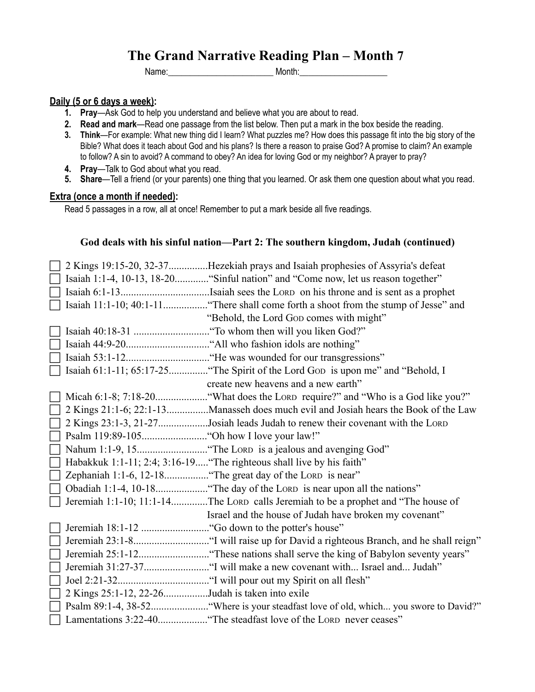Name:\_\_\_\_\_\_\_\_\_\_\_\_\_\_\_\_\_\_\_\_\_\_\_\_ Month:\_\_\_\_\_\_\_\_\_\_\_\_\_\_\_\_\_\_\_\_

#### **Daily (5 or 6 days a week):**

- **1. Pray**—Ask God to help you understand and believe what you are about to read.
- **2. Read and mark**—Read one passage from the list below. Then put a mark in the box beside the reading.
- **3. Think**—For example: What new thing did I learn? What puzzles me? How does this passage fit into the big story of the Bible? What does it teach about God and his plans? Is there a reason to praise God? A promise to claim? An example to follow? A sin to avoid? A command to obey? An idea for loving God or my neighbor? A prayer to pray?
- **4. Pray**—Talk to God about what you read.
- **5. Share**—Tell a friend (or your parents) one thing that you learned. Or ask them one question about what you read.

#### **Extra (once a month if needed):**

Read 5 passages in a row, all at once! Remember to put a mark beside all five readings.

#### **God deals with his sinful nation—Part 2: The southern kingdom, Judah (continued)**

|                                                 | 2 Kings 19:15-20, 32-37Hezekiah prays and Isaiah prophesies of Assyria's defeat     |
|-------------------------------------------------|-------------------------------------------------------------------------------------|
|                                                 | Isaiah 1:1-4, 10-13, 18-20 "Sinful nation" and "Come now, let us reason together"   |
|                                                 |                                                                                     |
|                                                 |                                                                                     |
|                                                 | "Behold, the Lord Gop comes with might"                                             |
|                                                 |                                                                                     |
|                                                 |                                                                                     |
|                                                 |                                                                                     |
|                                                 | Isaiah 61:1-11; 65:17-25 "The Spirit of the Lord Gop is upon me" and "Behold, I     |
|                                                 | create new heavens and a new earth"                                                 |
|                                                 |                                                                                     |
|                                                 | 2 Kings 21:1-6; 22:1-13Manasseh does much evil and Josiah hears the Book of the Law |
|                                                 | 2 Kings 23:1-3, 21-27Josiah leads Judah to renew their covenant with the LORD       |
|                                                 |                                                                                     |
|                                                 |                                                                                     |
|                                                 | Habakkuk 1:1-11; 2:4; 3:16-19 "The righteous shall live by his faith"               |
|                                                 | Zephaniah 1:1-6, 12-18 "The great day of the LORD is near"                          |
|                                                 |                                                                                     |
|                                                 | Jeremiah 1:1-10; 11:1-14The LORD calls Jeremiah to be a prophet and "The house of   |
|                                                 | Israel and the house of Judah have broken my covenant"                              |
|                                                 |                                                                                     |
|                                                 |                                                                                     |
|                                                 |                                                                                     |
|                                                 |                                                                                     |
|                                                 |                                                                                     |
| 2 Kings 25:1-12, 22-26Judah is taken into exile |                                                                                     |
|                                                 |                                                                                     |
|                                                 |                                                                                     |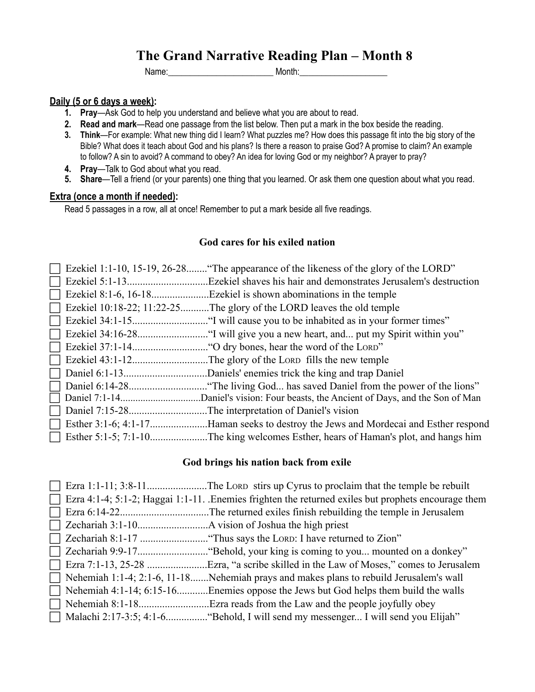Name:\_\_\_\_\_\_\_\_\_\_\_\_\_\_\_\_\_\_\_\_\_\_\_\_ Month:\_\_\_\_\_\_\_\_\_\_\_\_\_\_\_\_\_\_\_\_

#### **Daily (5 or 6 days a week):**

- **1. Pray**—Ask God to help you understand and believe what you are about to read.
- **2. Read and mark**—Read one passage from the list below. Then put a mark in the box beside the reading.
- **3. Think**—For example: What new thing did I learn? What puzzles me? How does this passage fit into the big story of the Bible? What does it teach about God and his plans? Is there a reason to praise God? A promise to claim? An example to follow? A sin to avoid? A command to obey? An idea for loving God or my neighbor? A prayer to pray?
- **4. Pray**—Talk to God about what you read.
- **5. Share**—Tell a friend (or your parents) one thing that you learned. Or ask them one question about what you read.

#### **Extra (once a month if needed):**

Read 5 passages in a row, all at once! Remember to put a mark beside all five readings.

## **God cares for his exiled nation**

|                            | Ezekiel 1:1-10, 15-19, 26-28 "The appearance of the likeness of the glory of the LORD" |
|----------------------------|----------------------------------------------------------------------------------------|
|                            | Ezekiel shaves his hair and demonstrates Jerusalem's destruction                       |
|                            |                                                                                        |
| Ezekiel 10:18-22; 11:22-25 | The glory of the LORD leaves the old temple.                                           |
|                            | "I will cause you to be inhabited as in your former times".                            |
|                            |                                                                                        |
|                            | "O dry bones, hear the word of the LORD".                                              |
|                            |                                                                                        |
|                            |                                                                                        |
|                            | "The living God has saved Daniel from the power of the lions"                          |
|                            |                                                                                        |
|                            |                                                                                        |
|                            | Esther 3:1-6; 4:1-17Haman seeks to destroy the Jews and Mordecai and Esther respond    |
|                            | Esther 5:1-5; 7:1-10The king welcomes Esther, hears of Haman's plot, and hangs him     |

#### **God brings his nation back from exile**

| $\perp$ | Ezra 4:1-4; 5:1-2; Haggai 1:1-11. Enemies frighten the returned exiles but prophets encourage them |
|---------|----------------------------------------------------------------------------------------------------|
|         |                                                                                                    |
|         |                                                                                                    |
|         |                                                                                                    |
|         |                                                                                                    |
| $\Box$  |                                                                                                    |
|         | Nehemiah 1:1-4; 2:1-6, 11-18Nehemiah prays and makes plans to rebuild Jerusalem's wall             |
|         | Nehemiah 4:1-14; 6:15-16Enemies oppose the Jews but God helps them build the walls                 |
|         |                                                                                                    |
|         |                                                                                                    |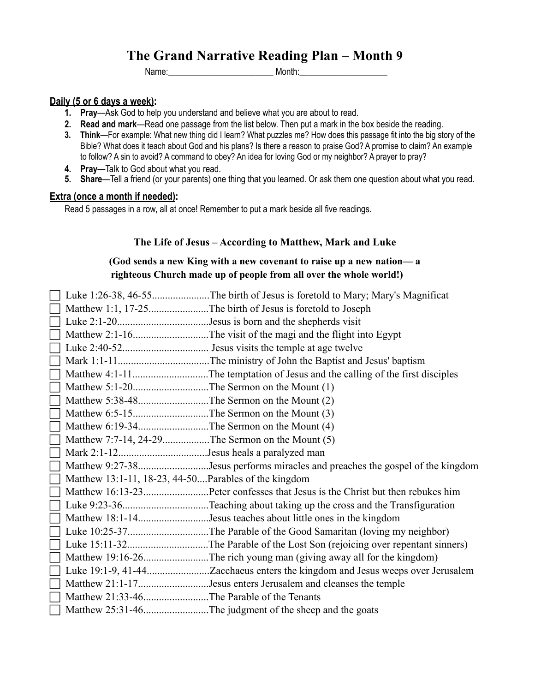Name:\_\_\_\_\_\_\_\_\_\_\_\_\_\_\_\_\_\_\_\_\_\_\_\_ Month:\_\_\_\_\_\_\_\_\_\_\_\_\_\_\_\_\_\_\_\_

#### **Daily (5 or 6 days a week):**

- **1. Pray**—Ask God to help you understand and believe what you are about to read.
- **2. Read and mark**—Read one passage from the list below. Then put a mark in the box beside the reading.
- **3. Think**—For example: What new thing did I learn? What puzzles me? How does this passage fit into the big story of the Bible? What does it teach about God and his plans? Is there a reason to praise God? A promise to claim? An example to follow? A sin to avoid? A command to obey? An idea for loving God or my neighbor? A prayer to pray?
- **4. Pray**—Talk to God about what you read.
- **5. Share**—Tell a friend (or your parents) one thing that you learned. Or ask them one question about what you read.

#### **Extra (once a month if needed):**

Read 5 passages in a row, all at once! Remember to put a mark beside all five readings.

#### **The Life of Jesus – According to Matthew, Mark and Luke**

# **(God sends a new King with a new covenant to raise up a new nation— a righteous Church made up of people from all over the whole world!)**

|          |                                                      | Luke 1:26-38, 46-55The birth of Jesus is foretold to Mary; Mary's Magnificat  |
|----------|------------------------------------------------------|-------------------------------------------------------------------------------|
|          |                                                      | Matthew 1:1, 17-25The birth of Jesus is foretold to Joseph                    |
|          |                                                      |                                                                               |
|          |                                                      |                                                                               |
|          |                                                      |                                                                               |
|          |                                                      |                                                                               |
|          |                                                      |                                                                               |
|          |                                                      |                                                                               |
|          |                                                      |                                                                               |
|          |                                                      |                                                                               |
|          |                                                      |                                                                               |
|          | Matthew 7:7-14, 24-29The Sermon on the Mount (5)     |                                                                               |
|          |                                                      |                                                                               |
|          |                                                      | Matthew 9:27-38Jesus performs miracles and preaches the gospel of the kingdom |
|          | Matthew 13:1-11, 18-23, 44-50Parables of the kingdom |                                                                               |
|          |                                                      |                                                                               |
|          |                                                      |                                                                               |
|          |                                                      | Matthew 18:1-14Jesus teaches about little ones in the kingdom                 |
|          |                                                      |                                                                               |
|          |                                                      |                                                                               |
|          |                                                      |                                                                               |
|          |                                                      |                                                                               |
| $\lceil$ |                                                      | Matthew 21:1-17Jesus enters Jerusalem and cleanses the temple                 |
|          | Matthew 21:33-46The Parable of the Tenants           |                                                                               |
|          |                                                      | Matthew 25:31-46The judgment of the sheep and the goats                       |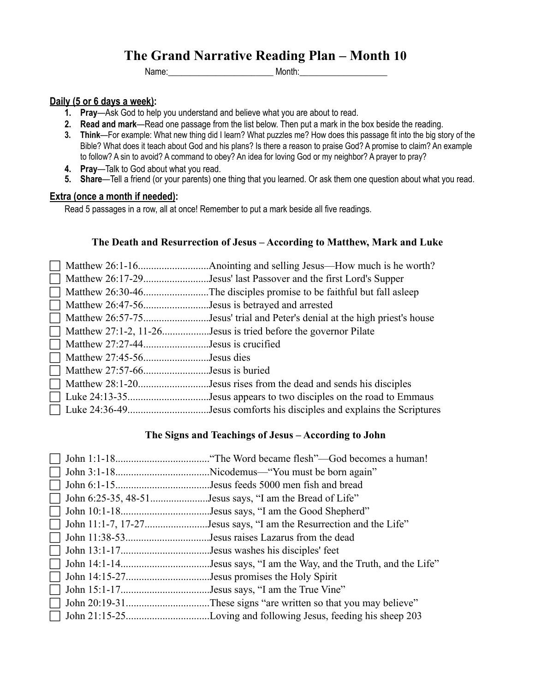Name:\_\_\_\_\_\_\_\_\_\_\_\_\_\_\_\_\_\_\_\_\_\_\_\_ Month:\_\_\_\_\_\_\_\_\_\_\_\_\_\_\_\_\_\_\_\_

#### **Daily (5 or 6 days a week):**

- **1. Pray**—Ask God to help you understand and believe what you are about to read.
- **2. Read and mark**—Read one passage from the list below. Then put a mark in the box beside the reading.
- **3. Think**—For example: What new thing did I learn? What puzzles me? How does this passage fit into the big story of the Bible? What does it teach about God and his plans? Is there a reason to praise God? A promise to claim? An example to follow? A sin to avoid? A command to obey? An idea for loving God or my neighbor? A prayer to pray?
- **4. Pray**—Talk to God about what you read.
- **5. Share**—Tell a friend (or your parents) one thing that you learned. Or ask them one question about what you read.

#### **Extra (once a month if needed):**

Read 5 passages in a row, all at once! Remember to put a mark beside all five readings.

#### **The Death and Resurrection of Jesus – According to Matthew, Mark and Luke**

|                                                | Matthew 26:17-29Jesus' last Passover and the first Lord's Supper           |
|------------------------------------------------|----------------------------------------------------------------------------|
|                                                |                                                                            |
| Matthew 26:47-56Jesus is betrayed and arrested |                                                                            |
|                                                | Matthew 26:57-75Jesus' trial and Peter's denial at the high priest's house |
|                                                | $\Box$ Matthew 27:1-2, 11-26Jesus is tried before the governor Pilate      |
| $\Box$ Matthew 27:27-44Jesus is crucified      |                                                                            |
| $\Box$ Matthew 27:45-56Jesus dies              |                                                                            |
| $\Box$ Matthew 27:57-66Jesus is buried         |                                                                            |
|                                                | Matthew 28:1-20Jesus rises from the dead and sends his disciples           |
|                                                | $\Box$ Luke 24:13-35Jesus appears to two disciples on the road to Emmaus   |
|                                                |                                                                            |

#### **The Signs and Teachings of Jesus – According to John**

|                                             | John 6:25-35, 48-51Jesus says, "I am the Bread of Life"            |
|---------------------------------------------|--------------------------------------------------------------------|
|                                             |                                                                    |
|                                             | John 11:1-7, 17-27Jesus says, "I am the Resurrection and the Life" |
|                                             | John 11:38-53Jesus raises Lazarus from the dead                    |
|                                             |                                                                    |
|                                             |                                                                    |
| John 14:15-27Jesus promises the Holy Spirit |                                                                    |
|                                             |                                                                    |
|                                             |                                                                    |
|                                             |                                                                    |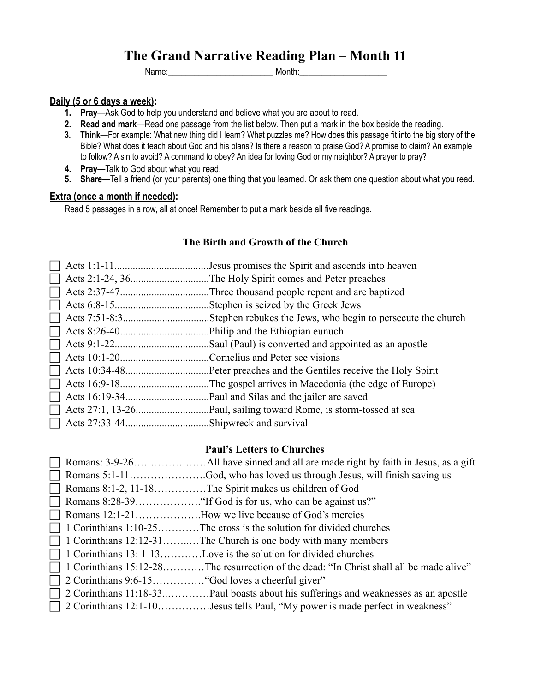Name:\_\_\_\_\_\_\_\_\_\_\_\_\_\_\_\_\_\_\_\_\_\_\_\_ Month:\_\_\_\_\_\_\_\_\_\_\_\_\_\_\_\_\_\_\_\_

# **Daily (5 or 6 days a week):**

- **1. Pray**—Ask God to help you understand and believe what you are about to read.
- **2. Read and mark**—Read one passage from the list below. Then put a mark in the box beside the reading.
- **3. Think**—For example: What new thing did I learn? What puzzles me? How does this passage fit into the big story of the Bible? What does it teach about God and his plans? Is there a reason to praise God? A promise to claim? An example to follow? A sin to avoid? A command to obey? An idea for loving God or my neighbor? A prayer to pray?
- **4. Pray**—Talk to God about what you read.
- **5. Share**—Tell a friend (or your parents) one thing that you learned. Or ask them one question about what you read.

#### **Extra (once a month if needed):**

Read 5 passages in a row, all at once! Remember to put a mark beside all five readings.

## **The Birth and Growth of the Church**

|  | Jesus promises the Spirit and ascends into heaven           |
|--|-------------------------------------------------------------|
|  | The Holy Spirit comes and Peter preaches                    |
|  | Three thousand people repent and are baptized.              |
|  | Stephen is seized by the Greek Jews.                        |
|  | Stephen rebukes the Jews, who begin to persecute the church |
|  |                                                             |
|  | Saul (Paul) is converted and appointed as an apostle        |
|  | Cornelius and Peter see visions                             |
|  | Peter preaches and the Gentiles receive the Holy Spirit.    |
|  | The gospel arrives in Macedonia (the edge of Europe).       |
|  |                                                             |
|  |                                                             |
|  | Shipwreck and survival.                                     |

#### **Paul's Letters to Churches**

|  | Romans 8:1-2, 11-18The Spirit makes us children of God                                  |
|--|-----------------------------------------------------------------------------------------|
|  |                                                                                         |
|  | Romans 12:1-21How we live because of God's mercies                                      |
|  | 1 Corinthians 1:10-25The cross is the solution for divided churches                     |
|  | 1 Corinthians 12:12-31The Church is one body with many members                          |
|  | 1 Corinthians 13: 1-13Love is the solution for divided churches                         |
|  | 1 Corinthians 15:12-28The resurrection of the dead: "In Christ shall all be made alive" |
|  |                                                                                         |
|  | 2 Corinthians 11:18-33Paul boasts about his sufferings and weaknesses as an apostle     |
|  |                                                                                         |
|  |                                                                                         |